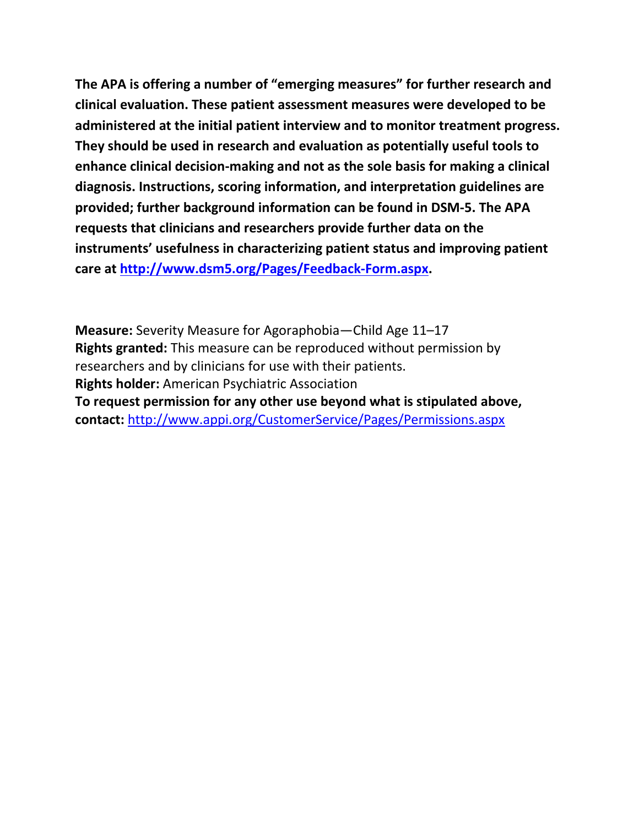**The APA is offering a number of "emerging measures" for further research and clinical evaluation. These patient assessment measures were developed to be administered at the initial patient interview and to monitor treatment progress. They should be used in research and evaluation as potentially useful tools to enhance clinical decision-making and not as the sole basis for making a clinical diagnosis. Instructions, scoring information, and interpretation guidelines are provided; further background information can be found in DSM-5. The APA requests that clinicians and researchers provide further data on the instruments' usefulness in characterizing patient status and improving patient care at [http://www.dsm5.org/Pages/Feedback-Form.aspx.](http://www.dsm5.org/Pages/Feedback-Form.aspx)**

**Measure:** Severity Measure for Agoraphobia—Child Age 11–17 **Rights granted:** This measure can be reproduced without permission by researchers and by clinicians for use with their patients. **Rights holder:** American Psychiatric Association **To request permission for any other use beyond what is stipulated above, contact:** <http://www.appi.org/CustomerService/Pages/Permissions.aspx>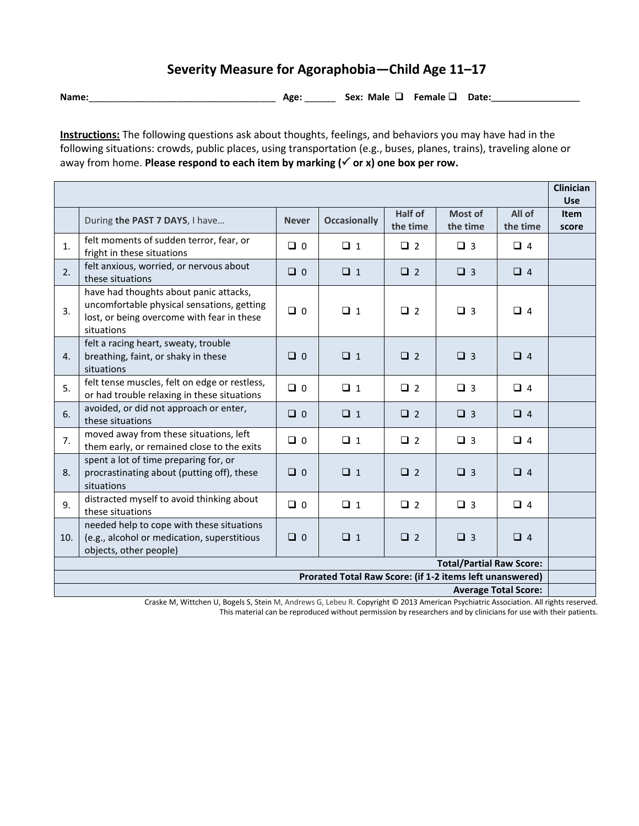## **Severity Measure for Agoraphobia—Child Age 11–17**

**Name:**\_\_\_\_\_\_\_\_\_\_\_\_\_\_\_\_\_\_\_\_\_\_\_\_\_\_\_\_\_\_\_\_\_\_\_\_ **Age:** \_\_\_\_\_\_ **Sex: Male Female Date:\_\_\_\_\_\_\_\_\_\_\_\_\_\_\_\_\_**

**Instructions:** The following questions ask about thoughts, feelings, and behaviors you may have had in the following situations: crowds, public places, using transportation (e.g., buses, planes, trains), traveling alone or away from home. **Please respond to each item by marking (√ or x) one box per row.** 

|                                                          |                                                                                                                                                  |              |                     |                     |                     |                    | <b>Clinician</b><br><b>Use</b> |
|----------------------------------------------------------|--------------------------------------------------------------------------------------------------------------------------------------------------|--------------|---------------------|---------------------|---------------------|--------------------|--------------------------------|
|                                                          | During the PAST 7 DAYS, I have                                                                                                                   | <b>Never</b> | <b>Occasionally</b> | Half of<br>the time | Most of<br>the time | All of<br>the time | <b>Item</b><br>score           |
| 1.                                                       | felt moments of sudden terror, fear, or<br>fright in these situations                                                                            | $\Box$ 0     | $\Box$ 1            | $\Box$ 2            | $\Box$ 3            | $\Box$ 4           |                                |
| 2.                                                       | felt anxious, worried, or nervous about<br>these situations                                                                                      | $\Box$ 0     | $\Box$ 1            | $\Box$ 2            | $\Box$ 3            | $\Box$ 4           |                                |
| 3.                                                       | have had thoughts about panic attacks,<br>uncomfortable physical sensations, getting<br>lost, or being overcome with fear in these<br>situations | $\Box$ 0     | $\Box$ 1            | $\Box$ 2            | $\Box$ 3            | $\Box$ 4           |                                |
| 4.                                                       | felt a racing heart, sweaty, trouble<br>breathing, faint, or shaky in these<br>situations                                                        | $\Box$ 0     | $\Box$ 1            | $\Box$ 2            | $\Box$ 3            | $\Box$ 4           |                                |
| 5.                                                       | felt tense muscles, felt on edge or restless,<br>or had trouble relaxing in these situations                                                     | $\Box$ 0     | $\Box$ 1            | $\Box$ 2            | $\Box$ 3            | $\Box$ 4           |                                |
| 6.                                                       | avoided, or did not approach or enter,<br>these situations                                                                                       | $\Box$ 0     | $\Box$ 1            | $\Box$ 2            | $\Box$ 3            | $\Box$ 4           |                                |
| 7.                                                       | moved away from these situations, left<br>them early, or remained close to the exits                                                             | $\Box$ 0     | $\Box$ 1            | $\Box$ 2            | $\Box$ 3            | $\Box$ 4           |                                |
| 8.                                                       | spent a lot of time preparing for, or<br>procrastinating about (putting off), these<br>situations                                                | $\Box$ 0     | $\Box$ 1            | $\Box$ 2            | $\Box$ 3            | $\Box$ 4           |                                |
| 9.                                                       | distracted myself to avoid thinking about<br>these situations                                                                                    | $\Box$ 0     | $\Box$ 1            | $\Box$ 2            | $\Box$ 3            | $\Box$ 4           |                                |
| 10.                                                      | needed help to cope with these situations<br>(e.g., alcohol or medication, superstitious<br>objects, other people)                               | $\Box$ 0     | $\Box$ 1            | $\Box$ 2            | $\Box$ 3            | $\Box$ 4           |                                |
| <b>Total/Partial Raw Score:</b>                          |                                                                                                                                                  |              |                     |                     |                     |                    |                                |
| Prorated Total Raw Score: (if 1-2 items left unanswered) |                                                                                                                                                  |              |                     |                     |                     |                    |                                |
| <b>Average Total Score:</b>                              |                                                                                                                                                  |              |                     |                     |                     |                    |                                |

Craske M, Wittchen U, Bogels S, Stein M, Andrews G, Lebeu R. Copyright © 2013 American Psychiatric Association. All rights reserved. This material can be reproduced without permission by researchers and by clinicians for use with their patients.